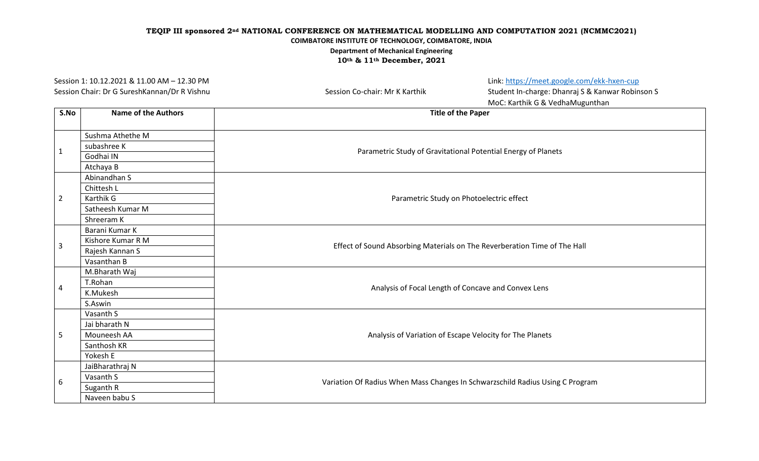| Session 1: 10.12.2021 & 11.00 AM - 12.30 PM<br>Session Chair: Dr G SureshKannan/Dr R Vishnu |                            | Session Co-chair: Mr K Karthik                      | Link: https://meet.google.com/ekk-hxen-cup<br>Student In-charge: Dhanraj S & Kanwar Robinson S<br>MoC: Karthik G & VedhaMugunthan |  |
|---------------------------------------------------------------------------------------------|----------------------------|-----------------------------------------------------|-----------------------------------------------------------------------------------------------------------------------------------|--|
| S.No                                                                                        | <b>Name of the Authors</b> |                                                     | <b>Title of the Paper</b>                                                                                                         |  |
|                                                                                             | Sushma Athethe M           |                                                     |                                                                                                                                   |  |
| $\mathbf{1}$                                                                                | subashree K                |                                                     | Parametric Study of Gravitational Potential Energy of Planets                                                                     |  |
|                                                                                             | Godhai IN                  |                                                     |                                                                                                                                   |  |
|                                                                                             | Atchaya B                  |                                                     |                                                                                                                                   |  |
|                                                                                             | Abinandhan S               |                                                     |                                                                                                                                   |  |
|                                                                                             | Chittesh L                 |                                                     |                                                                                                                                   |  |
| $\overline{2}$                                                                              | Karthik G                  | Parametric Study on Photoelectric effect            |                                                                                                                                   |  |
|                                                                                             | Satheesh Kumar M           |                                                     |                                                                                                                                   |  |
|                                                                                             | Shreeram K                 |                                                     |                                                                                                                                   |  |
|                                                                                             | Barani Kumar K             |                                                     | Effect of Sound Absorbing Materials on The Reverberation Time of The Hall                                                         |  |
| 3                                                                                           | Kishore Kumar R M          |                                                     |                                                                                                                                   |  |
|                                                                                             | Rajesh Kannan S            |                                                     |                                                                                                                                   |  |
|                                                                                             | Vasanthan B                |                                                     |                                                                                                                                   |  |
|                                                                                             | M.Bharath Waj              | Analysis of Focal Length of Concave and Convex Lens |                                                                                                                                   |  |
| 4                                                                                           | T.Rohan                    |                                                     |                                                                                                                                   |  |
|                                                                                             | K.Mukesh                   |                                                     |                                                                                                                                   |  |
|                                                                                             | S.Aswin                    |                                                     |                                                                                                                                   |  |
|                                                                                             | Vasanth S                  |                                                     |                                                                                                                                   |  |
|                                                                                             | Jai bharath N              |                                                     | Analysis of Variation of Escape Velocity for The Planets                                                                          |  |
| 5                                                                                           | Mouneesh AA                |                                                     |                                                                                                                                   |  |
|                                                                                             | Santhosh KR                |                                                     |                                                                                                                                   |  |
|                                                                                             | Yokesh E                   |                                                     |                                                                                                                                   |  |
|                                                                                             | JaiBharathraj N            |                                                     | Variation Of Radius When Mass Changes In Schwarzschild Radius Using C Program                                                     |  |
| 6                                                                                           | Vasanth S                  |                                                     |                                                                                                                                   |  |
|                                                                                             | Suganth R                  |                                                     |                                                                                                                                   |  |
|                                                                                             | Naveen babu S              |                                                     |                                                                                                                                   |  |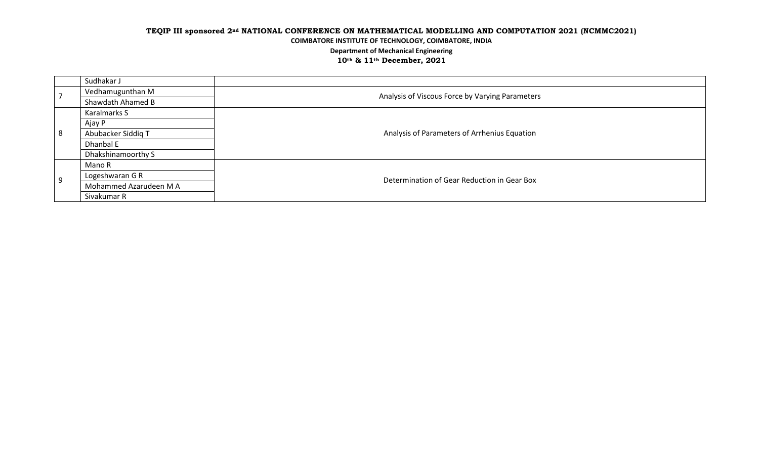|    | Sudhakar J             |                                                 |  |
|----|------------------------|-------------------------------------------------|--|
|    | Vedhamugunthan M       | Analysis of Viscous Force by Varying Parameters |  |
|    | Shawdath Ahamed B      |                                                 |  |
|    | Karalmarks S           | Analysis of Parameters of Arrhenius Equation    |  |
|    | Ajay P                 |                                                 |  |
| 8  | Abubacker Siddig T     |                                                 |  |
|    | Dhanbal E              |                                                 |  |
|    | Dhakshinamoorthy S     |                                                 |  |
|    | Mano R                 | Determination of Gear Reduction in Gear Box     |  |
| -9 | Logeshwaran G R        |                                                 |  |
|    | Mohammed Azarudeen M A |                                                 |  |
|    | Sivakumar R            |                                                 |  |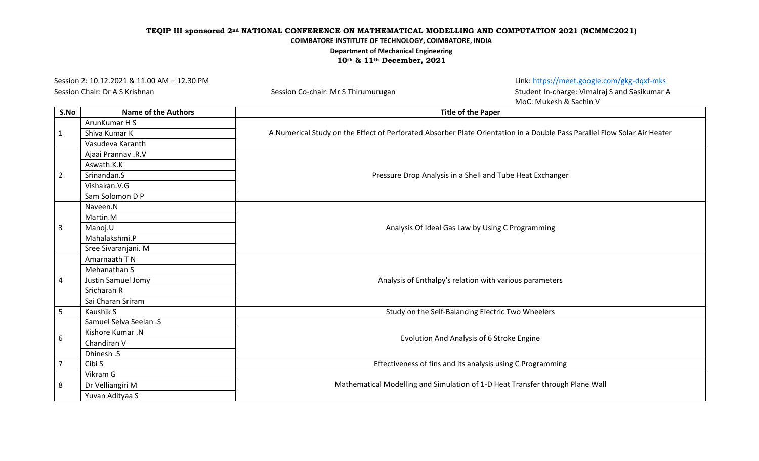Session 2: 10.12.2021 & 11.00 AM – 12.30 PM Link[: https://meet.google.com/gkg-dqxf-mks](https://meet.google.com/gkg-dqxf-mks)

Session Chair: Dr A S Krishnan Session Co-chair: Mr S Thirumurugan Session Co-chair: Mr S Thirumurugan Student In-charge: Vimalraj S and Sasikumar A MoC: Mukesh & Sachin V

| S.No           | <b>Name of the Authors</b> | <b>Title of the Paper</b>                                                                                                |
|----------------|----------------------------|--------------------------------------------------------------------------------------------------------------------------|
|                | ArunKumar H S              | A Numerical Study on the Effect of Perforated Absorber Plate Orientation in a Double Pass Parallel Flow Solar Air Heater |
| $\mathbf{1}$   | Shiva Kumar K              |                                                                                                                          |
|                | Vasudeva Karanth           |                                                                                                                          |
|                | Ajaai Prannav .R.V         |                                                                                                                          |
|                | Aswath.K.K                 |                                                                                                                          |
| $\overline{2}$ | Srinandan.S                | Pressure Drop Analysis in a Shell and Tube Heat Exchanger                                                                |
|                | Vishakan.V.G               |                                                                                                                          |
|                | Sam Solomon D P            |                                                                                                                          |
|                | Naveen.N                   |                                                                                                                          |
|                | Martin.M                   |                                                                                                                          |
| 3              | Manoj.U                    | Analysis Of Ideal Gas Law by Using C Programming                                                                         |
|                | Mahalakshmi.P              |                                                                                                                          |
|                | Sree Sivaranjani. M        |                                                                                                                          |
|                | Amarnaath T N              |                                                                                                                          |
|                | Mehanathan S               |                                                                                                                          |
| 4              | Justin Samuel Jomy         | Analysis of Enthalpy's relation with various parameters                                                                  |
|                | Sricharan R                |                                                                                                                          |
|                | Sai Charan Sriram          |                                                                                                                          |
| 5              | Kaushik S                  | Study on the Self-Balancing Electric Two Wheelers                                                                        |
|                | Samuel Selva Seelan .S     |                                                                                                                          |
|                | Kishore Kumar .N           |                                                                                                                          |
| 6              | Chandiran V                | Evolution And Analysis of 6 Stroke Engine                                                                                |
|                | Dhinesh .S                 |                                                                                                                          |
| $\overline{7}$ | Cibi S                     | Effectiveness of fins and its analysis using C Programming                                                               |
|                | Vikram G                   | Mathematical Modelling and Simulation of 1-D Heat Transfer through Plane Wall                                            |
| 8              | Dr Velliangiri M           |                                                                                                                          |
|                | Yuvan Adityaa S            |                                                                                                                          |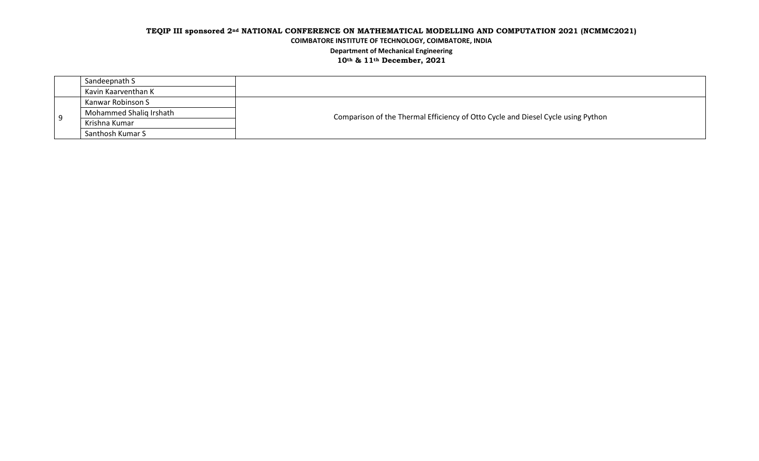|   | Sandeepnath S           |                                                                                  |  |
|---|-------------------------|----------------------------------------------------------------------------------|--|
|   | Kavin Kaarventhan K     |                                                                                  |  |
| ٥ | Kanwar Robinson S       |                                                                                  |  |
|   | Mohammed Shalig Irshath | Comparison of the Thermal Efficiency of Otto Cycle and Diesel Cycle using Python |  |
|   | Krishna Kumar           |                                                                                  |  |
|   | Santhosh Kumar S        |                                                                                  |  |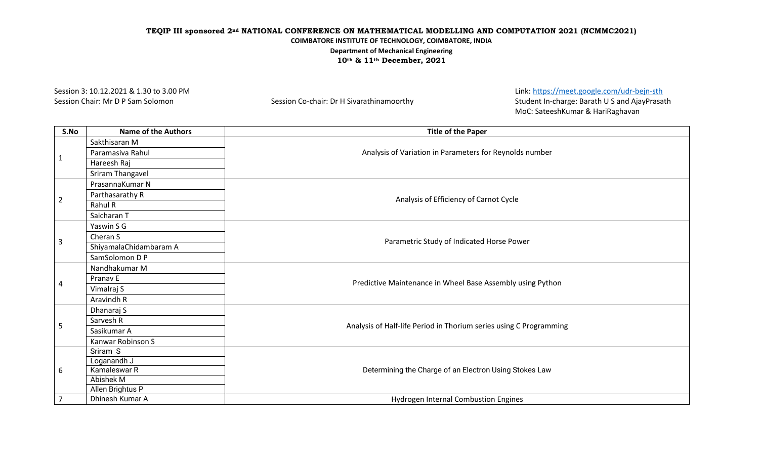Session 3: 10.12.2021 & 1.30 to 3.00 PM Link[: https://meet.google.com/udr-bejn-sth](https://meet.google.com/udr-bejn-sth) Session Chair: Mr D P Sam Solomon Session Co-chair: Dr H Sivarathinamoorthy Session Co-chair: Dr H Sivarathinamoorthy MoC: SateeshKumar & HariRaghavan

| S.No           | <b>Name of the Authors</b> | <b>Title of the Paper</b>                                          |  |
|----------------|----------------------------|--------------------------------------------------------------------|--|
|                | Sakthisaran M              |                                                                    |  |
|                | Paramasiva Rahul           | Analysis of Variation in Parameters for Reynolds number            |  |
| $\mathbf 1$    | Hareesh Raj                |                                                                    |  |
|                | Sriram Thangavel           |                                                                    |  |
|                | PrasannaKumar N            |                                                                    |  |
|                | Parthasarathy R            | Analysis of Efficiency of Carnot Cycle                             |  |
| $\overline{2}$ | Rahul R                    |                                                                    |  |
|                | Saicharan T                |                                                                    |  |
|                | Yaswin S G                 |                                                                    |  |
| 3              | Cheran S                   | Parametric Study of Indicated Horse Power                          |  |
|                | ShiyamalaChidambaram A     |                                                                    |  |
|                | SamSolomon D P             |                                                                    |  |
|                | Nandhakumar M              |                                                                    |  |
| 4              | Pranav E                   | Predictive Maintenance in Wheel Base Assembly using Python         |  |
|                | Vimalraj S                 |                                                                    |  |
|                | Aravindh R                 |                                                                    |  |
|                | Dhanaraj S                 | Analysis of Half-life Period in Thorium series using C Programming |  |
| 5              | Sarvesh R                  |                                                                    |  |
|                | Sasikumar A                |                                                                    |  |
|                | Kanwar Robinson S          |                                                                    |  |
|                | Sriram S                   |                                                                    |  |
|                | Loganandh J                |                                                                    |  |
| 6              | Kamaleswar R               | Determining the Charge of an Electron Using Stokes Law             |  |
|                | Abishek M                  |                                                                    |  |
|                | Allen Brightus P           |                                                                    |  |
| $\overline{7}$ | Dhinesh Kumar A            | Hydrogen Internal Combustion Engines                               |  |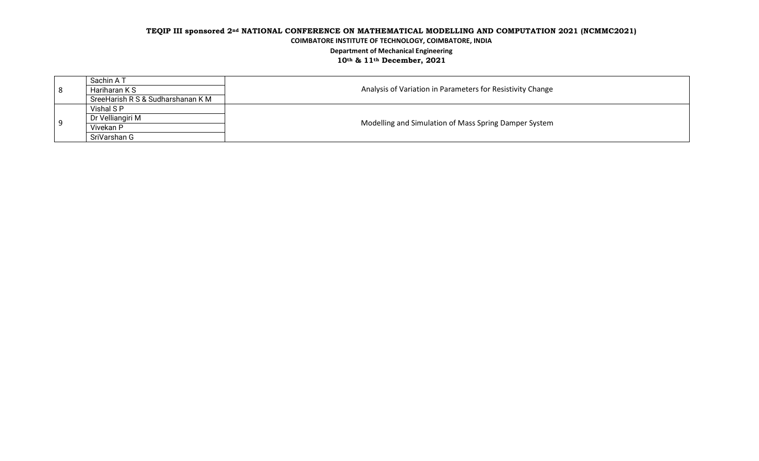| -8 | Sachin A T                        | Analysis of Variation in Parameters for Resistivity Change |  |
|----|-----------------------------------|------------------------------------------------------------|--|
|    | Hariharan K S                     |                                                            |  |
|    | SreeHarish R S & Sudharshanan K M |                                                            |  |
|    | Vishal SP                         | Modelling and Simulation of Mass Spring Damper System      |  |
| g  | Dr Velliangiri M                  |                                                            |  |
|    | Vivekan P                         |                                                            |  |
|    | SriVarshan G                      |                                                            |  |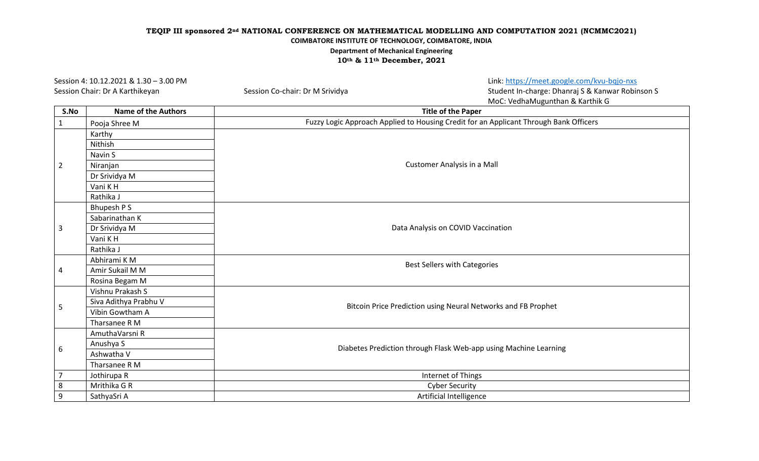Session 4: 10.12.2021 & 1.30 – 3.00 PM Link: <https://meet.google.com/kvu-bqjo-nxs>

Session Chair: Dr A Karthikeyan Session Co-chair: Dr M Srividya Session Co-chair: Dr M Student In-charge: Dhanraj S & Kanwar Robinson S MoC: VedhaMugunthan & Karthik G

| S.No             | <b>Name of the Authors</b> | <b>Title of the Paper</b>                                                             |  |
|------------------|----------------------------|---------------------------------------------------------------------------------------|--|
| $\mathbf{1}$     | Pooja Shree M              | Fuzzy Logic Approach Applied to Housing Credit for an Applicant Through Bank Officers |  |
|                  | Karthy                     |                                                                                       |  |
|                  | Nithish                    |                                                                                       |  |
|                  | Navin S                    |                                                                                       |  |
| $\overline{2}$   | Niranjan                   | Customer Analysis in a Mall                                                           |  |
|                  | Dr Srividya M              |                                                                                       |  |
|                  | Vani KH                    |                                                                                       |  |
|                  | Rathika J                  |                                                                                       |  |
|                  | Bhupesh P S                |                                                                                       |  |
|                  | Sabarinathan K             |                                                                                       |  |
| 3                | Dr Srividya M              | Data Analysis on COVID Vaccination                                                    |  |
|                  | Vani KH                    |                                                                                       |  |
|                  | Rathika J                  |                                                                                       |  |
|                  | Abhirami KM                | Best Sellers with Categories                                                          |  |
| 4                | Amir Sukail M M            |                                                                                       |  |
|                  | Rosina Begam M             |                                                                                       |  |
|                  | Vishnu Prakash S           |                                                                                       |  |
| 5                | Siva Adithya Prabhu V      | Bitcoin Price Prediction using Neural Networks and FB Prophet                         |  |
|                  | Vibin Gowtham A            |                                                                                       |  |
|                  | Tharsanee R M              |                                                                                       |  |
|                  | AmuthaVarsni R             |                                                                                       |  |
| 6                | Anushya S                  | Diabetes Prediction through Flask Web-app using Machine Learning                      |  |
|                  | Ashwatha V                 |                                                                                       |  |
|                  | Tharsanee R M              |                                                                                       |  |
| 7                | Jothirupa R                | Internet of Things                                                                    |  |
| 8                | Mrithika G R               | <b>Cyber Security</b>                                                                 |  |
| $\boldsymbol{9}$ | SathyaSri A                | Artificial Intelligence                                                               |  |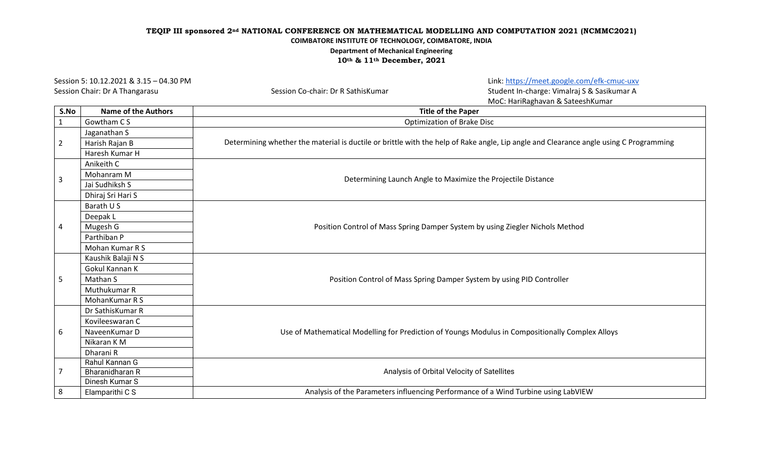Session Chair: Dr A Thangarasu Session Co-chair: Dr R SathisKumar Session Co-chair: Dr B Student In-charge: Vimalraj S & Sasikumar A

Session 5: 10.12.2021 & 3.15 – 04.30 PM Link[: https://meet.google.com/efk-cmuc-uxv](https://meet.google.com/efk-cmuc-uxv)

MoC: HariRaghavan & SateeshKumar

| S.No                    | <b>Name of the Authors</b> | <b>Title of the Paper</b>                                                                                                             |
|-------------------------|----------------------------|---------------------------------------------------------------------------------------------------------------------------------------|
| $\mathbf{1}$            | Gowtham CS                 | <b>Optimization of Brake Disc</b>                                                                                                     |
|                         | Jaganathan S               | Determining whether the material is ductile or brittle with the help of Rake angle, Lip angle and Clearance angle using C Programming |
| $\overline{2}$          | Harish Rajan B             |                                                                                                                                       |
|                         | Haresh Kumar H             |                                                                                                                                       |
|                         | Anikeith C                 |                                                                                                                                       |
| $\overline{\mathbf{3}}$ | Mohanram M                 | Determining Launch Angle to Maximize the Projectile Distance                                                                          |
|                         | Jai Sudhiksh S             |                                                                                                                                       |
|                         | Dhiraj Sri Hari S          |                                                                                                                                       |
|                         | Barath U S                 |                                                                                                                                       |
|                         | Deepak L                   |                                                                                                                                       |
| $\overline{4}$          | Mugesh G                   | Position Control of Mass Spring Damper System by using Ziegler Nichols Method                                                         |
|                         | Parthiban P                |                                                                                                                                       |
|                         | Mohan Kumar R S            |                                                                                                                                       |
|                         | Kaushik Balaji N S         |                                                                                                                                       |
|                         | Gokul Kannan K             |                                                                                                                                       |
| 5                       | Mathan S                   | Position Control of Mass Spring Damper System by using PID Controller                                                                 |
|                         | Muthukumar R               |                                                                                                                                       |
|                         | MohanKumar R S             |                                                                                                                                       |
|                         | Dr SathisKumar R           |                                                                                                                                       |
|                         | Kovileeswaran C            |                                                                                                                                       |
| 6                       | NaveenKumar D              | Use of Mathematical Modelling for Prediction of Youngs Modulus in Compositionally Complex Alloys                                      |
|                         | Nikaran K M                |                                                                                                                                       |
|                         | Dharani R                  |                                                                                                                                       |
|                         | Rahul Kannan G             |                                                                                                                                       |
| $\overline{7}$          | Bharanidharan R            | Analysis of Orbital Velocity of Satellites                                                                                            |
|                         | Dinesh Kumar S             |                                                                                                                                       |
| 8                       | Elamparithi C S            | Analysis of the Parameters influencing Performance of a Wind Turbine using LabVIEW                                                    |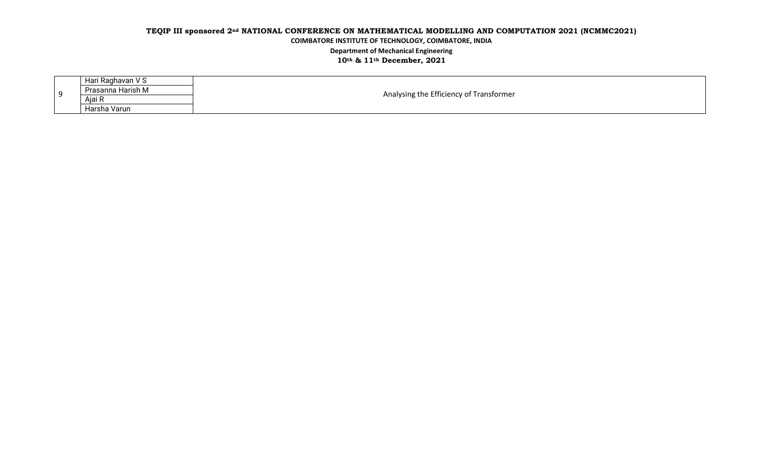| q | Hari Raghavan V S | Analysing the Efficiency of Transformer |  |
|---|-------------------|-----------------------------------------|--|
|   | Prasanna Harish M |                                         |  |
|   | Ajai R            |                                         |  |
|   | Harsha Varun      |                                         |  |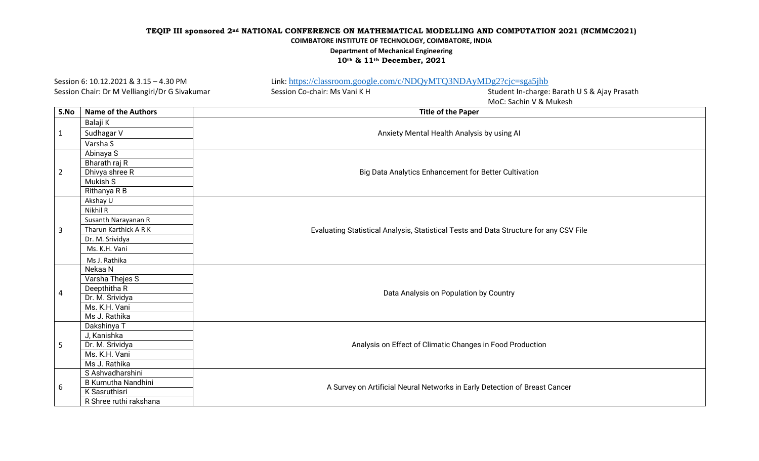**10th & 11th December, 2021**

Session 6: 10.12.2021 & 3.15 – 4.30 PM Link: <https://classroom.google.com/c/NDQyMTQ3NDAyMDg2?cjc=sga5jhb> Session Chair: Dr M Velliangiri/Dr G Sivakumar Session Co-chair: Ms Vani K H Student In-charge: Barath U S & Ajay Prasath MoC: Sachin V & Mukesh **S.No Name of the Authors Title of the Paper** 1 Balaji K Sudhagar V Anxiety Mental Health Analysis by using AI Anxiety Mental Health Analysis by using AI Varsha S 2 Abinaya S Big Data Analytics Enhancement for Better Cultivation Bharath raj R Dhivya shree R Mukish S Rithanya R B 3 Akshay U Evaluating Statistical Analysis, Statistical Tests and Data Structure for any CSV File Nikhil R Susanth Narayanan R Tharun Karthick A R K Dr. M. Srividya Ms. K.H. Vani Ms J. Rathika 4 Nekaa N Data Analysis on Population by Country Varsha Thejes S Deepthitha R Dr. M. Srividya Ms. K.H. Vani Ms J. Rathika 5 Dakshinya T Analysis on Effect of Climatic Changes in Food Production J, Kanishka Dr. M. Srividya Ms. K.H. Vani Ms J. Rathika 6 S Ashvadharshini A Survey on Artificial Neural Networks in Early Detection of Breast Cancer (Breast Cancer A Survey on Artificial Neural Networks in Early Detection of Breast Cancer K Sasruthisri R Shree ruthi rakshana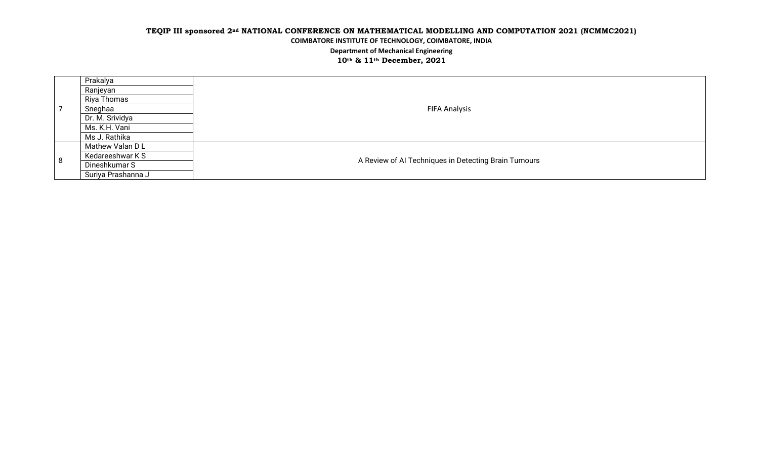|     | Prakalya           |                                                      |
|-----|--------------------|------------------------------------------------------|
|     | Ranjeyan           |                                                      |
|     | Riya Thomas        |                                                      |
|     | Sneghaa            | <b>FIFA Analysis</b>                                 |
|     | Dr. M. Srividya    |                                                      |
|     | Ms. K.H. Vani      |                                                      |
|     | Ms J. Rathika      |                                                      |
| l 8 | Mathew Valan D L   |                                                      |
|     | Kedareeshwar K S   | A Review of AI Techniques in Detecting Brain Tumours |
|     | Dineshkumar S      |                                                      |
|     | Suriya Prashanna J |                                                      |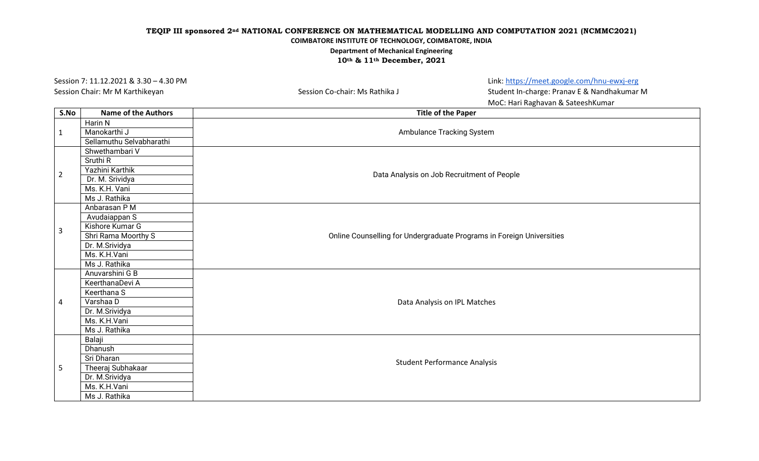Session 7: 11.12.2021 & 3.30 – 4.30 PM Link: <https://meet.google.com/hnu-ewxj-erg>

Session Chair: Mr M Karthikeyan Session Co-chair: Ms Rathika J Session Co-chair: Ms Rathika J Student In-charge: Pranav E & Nandhakumar M MoC: Hari Raghavan & SateeshKumar

| S.No           | <b>Name of the Authors</b> | <b>Title of the Paper</b>                                             |  |
|----------------|----------------------------|-----------------------------------------------------------------------|--|
| $\mathbf{1}$   | Harin N                    | Ambulance Tracking System                                             |  |
|                | Manokarthi J               |                                                                       |  |
|                | Sellamuthu Selvabharathi   |                                                                       |  |
|                | Shwethambari V             |                                                                       |  |
|                | Sruthi R                   | Data Analysis on Job Recruitment of People                            |  |
| $\overline{2}$ | Yazhini Karthik            |                                                                       |  |
|                | Dr. M. Srividya            |                                                                       |  |
|                | Ms. K.H. Vani              |                                                                       |  |
|                | Ms J. Rathika              |                                                                       |  |
|                | Anbarasan P M              |                                                                       |  |
|                | Avudaiappan S              |                                                                       |  |
| $\mathbf{3}$   | Kishore Kumar G            |                                                                       |  |
|                | Shri Rama Moorthy S        | Online Counselling for Undergraduate Programs in Foreign Universities |  |
|                | Dr. M.Srividya             |                                                                       |  |
|                | Ms. K.H.Vani               |                                                                       |  |
|                | Ms J. Rathika              |                                                                       |  |
|                | Anuvarshini G B            |                                                                       |  |
|                | KeerthanaDevi A            |                                                                       |  |
|                | Keerthana S                |                                                                       |  |
| 4              | Varshaa D                  | Data Analysis on IPL Matches                                          |  |
|                | Dr. M.Srividya             |                                                                       |  |
|                | Ms. K.H.Vani               |                                                                       |  |
|                | Ms J. Rathika              |                                                                       |  |
|                | Balaji                     |                                                                       |  |
|                | Dhanush                    |                                                                       |  |
|                | Sri Dharan                 | <b>Student Performance Analysis</b>                                   |  |
| 5              | Theeraj Subhakaar          |                                                                       |  |
|                | Dr. M.Srividya             |                                                                       |  |
|                | Ms. K.H.Vani               |                                                                       |  |
|                | Ms J. Rathika              |                                                                       |  |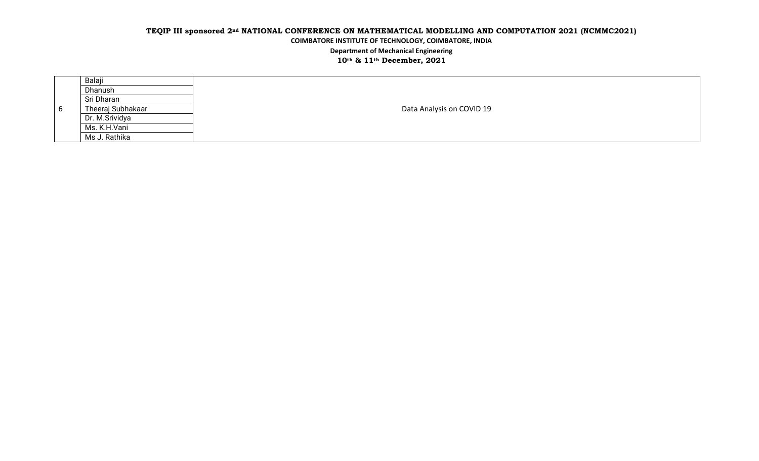|     | Balaji            |                           |
|-----|-------------------|---------------------------|
|     | Dhanush           |                           |
|     | Sri Dharan        |                           |
| - 6 | Theeraj Subhakaar | Data Analysis on COVID 19 |
|     | Dr. M.Srividya    |                           |
|     | Ms. K.H.Vani      |                           |
|     | Ms J. Rathika     |                           |